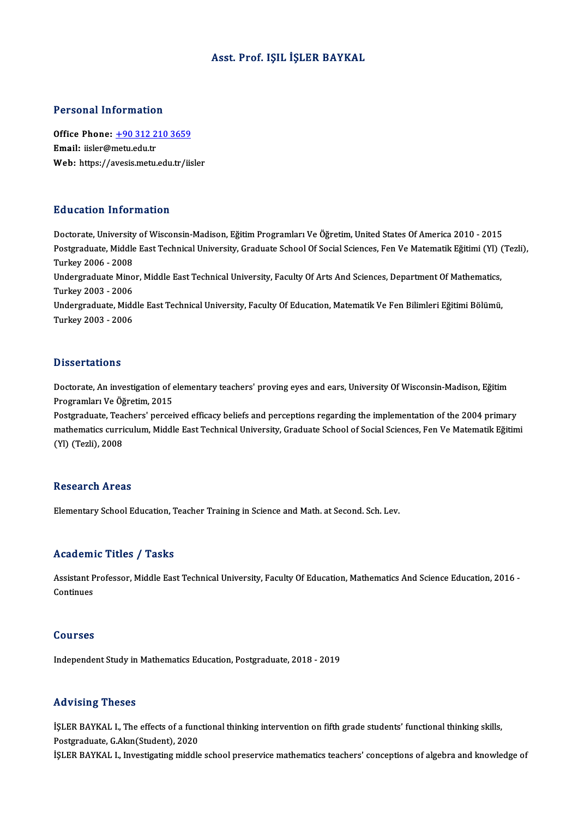### Asst. Prof. IŞIL İŞLER BAYKAL

### Personal Information

Personal Information<br>Office Phone: <u>+90 312 210 3659</u><br>Email: ijsler@metuedu.tr office Phone: <u>+90 312 2</u><br>Email: iisler@metu.edu.tr<br>Web: https://avesis.metu. Email: iisler@metu.edu.tr<br>Web: https://a[vesis.metu.edu.tr/i](tel:+90 312 210 3659)isler

### Education Information

Doctorate, University of Wisconsin-Madison, Eğitim Programları Ve Öğretim, United States Of America 2010 - 2015 Pu u outron Trivon inutron<br>Doctorate, University of Wisconsin-Madison, Eğitim Programları Ve Öğretim, United States Of America 2010 - 2015<br>Postgraduate, Middle East Technical University, Graduate School Of Social Sciences, Doctorate, University<br>Postgraduate, Middle<br>Turkey 2006 - 2008<br>Undergraduate Mine Postgraduate, Middle East Technical University, Graduate School Of Social Sciences, Fen Ve Matematik Eğitimi (Yl)<br>Turkey 2006 - 2008<br>Undergraduate Minor, Middle East Technical University, Faculty Of Arts And Sciences, Depa

Turkey 2006 - 2008<br>Undergraduate Minor, Middle East Technical University, Faculty Of Arts And Sciences, Department Of Mathematics,<br>Turkey 2003 - 2006 Undergraduate Minor, Middle East Technical University, Faculty Of Arts And Sciences, Department Of Mathematics,<br>Turkey 2003 - 2006<br>Undergraduate, Middle East Technical University, Faculty Of Education, Matematik Ve Fen Bil

Turkey 2003 - 2006<br>Undergraduate, Midc<br>Turkey 2003 - 2006 Turkey 2003 - 2006<br>Dissertations

Doctorate, An investigation of elementary teachers' proving eyes and ears, University Of Wisconsin-Madison, Eğitim Programları Ve Öğretim, 2015

Postgraduate, Teachers' perceived efficacy beliefs and perceptions regarding the implementation of the 2004 primary Programları Ve Öğretim, 2015<br>Postgraduate, Teachers' perceived efficacy beliefs and perceptions regarding the implementation of the 2004 primary<br>mathematics curriculum, Middle East Technical University, Graduate School of Postgraduate, Tea<br>mathematics curri<br>(Yl) (Tezli), 2008 (YI) (Tezli), 2008<br>Research Areas

Elementary School Education, Teacher Training in Science and Math. at Second. Sch. Lev.

### Academic Titles / Tasks

Academic Titles / Tasks<br>Assistant Professor, Middle East Technical University, Faculty Of Education, Mathematics And Science Education, 2016 -<br>Continues Assistant P<br>Continues Continues<br>Courses

Independent Study in Mathematics Education, Postgraduate, 2018 - 2019

### Advising Theses

Advising Theses<br>İŞLER BAYKAL I., The effects of a functional thinking intervention on fifth grade students' functional thinking skills,<br>Restanaduate C Alpp(Student), 2020 rea violog incoce<br>ISLER BAYKAL I., The effects of a fund<br>Postgraduate, G.Akın(Student), 2020<br>ISLED PAYKAL I. Investigating middle İŞLER BAYKAL I., The effects of a functional thinking intervention on fifth grade students' functional thinking skills,<br>Postgraduate, G.Akın(Student), 2020<br>İŞLER BAYKAL I., Investigating middle school preservice mathematic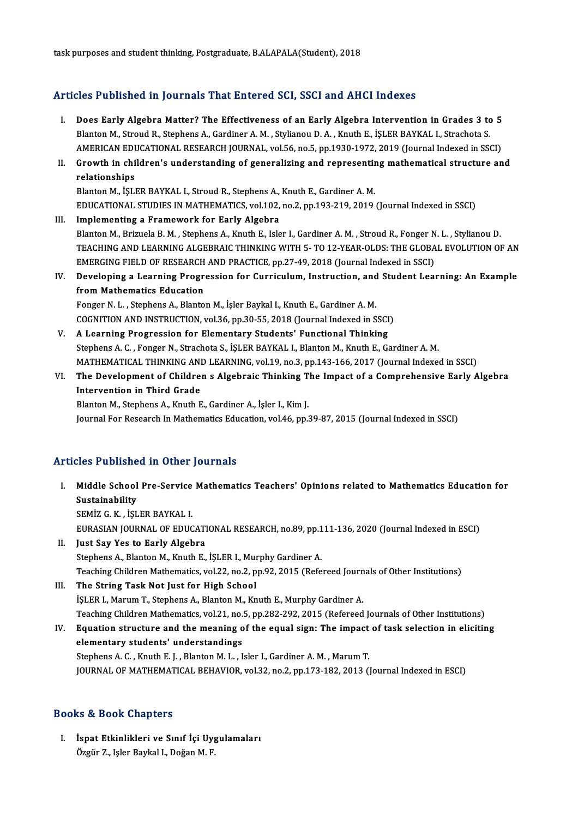task purposes and student thinking, Postgraduate, B.ALAPALA(Student), 2018

## Articles Published in Journals That Entered SCI, SSCI and AHCI Indexes

- The Published in Journals That Entered SCI, SSCI and AHCI Indexes<br>I. Does Early Algebra Matter? The Effectiveness of an Early Algebra Intervention in Grades 3 to 5<br>Rlanton M. Stroud B. Staphens A. Cardinar A. M. Stylianou Blanton M., Stroud A., Stephens A., Gardiner A.M., Stylianou D.A., Knuth E., İŞLER BAYKAL I., Strachota S.<br>Blanton M., Stroud R., Stephens A., Gardiner A.M., Stylianou D.A., Knuth E., İŞLER BAYKAL I., Strachota S.<br>AMERICAN Does Early Algebra Matter? The Effectiveness of an Early Algebra Intervention in Grades 3 to 5<br>Blanton M., Stroud R., Stephens A., Gardiner A. M. , Stylianou D. A. , Knuth E., İŞLER BAYKAL I., Strachota S.<br>AMERICAN EDUCATI Blanton M., Stroud R., Stephens A., Gardiner A. M. , Stylianou D. A. , Knuth E., İŞLER BAYKAL I., Strachota S.<br>AMERICAN EDUCATIONAL RESEARCH JOURNAL, vol.56, no.5, pp.1930-1972, 2019 (Journal Indexed in SSCI)<br>II. Growth in
- AMERICAN EDUCATIONAL RESEARCH JOURNAL, vol.56, no.5, pp.1930-1972, 2019 (Journal Indexed in SSCI)<br>Growth in children's understanding of generalizing and representing mathematical structure an<br>relationships<br>Blanton M., İSLE Growth in children's understanding of generalizing and representin<br>relationships<br>Blanton M., İŞLER BAYKAL I., Stroud R., Stephens A., Knuth E., Gardiner A. M.<br>EDUCATIONAL STUDIES IN MATHEMATICS, vol.192, po.2, pp.192,219,2

EDUCATIONAL STUDIES INMATHEMATICS,vol.102,no.2,pp.193-219,2019 (Journal Indexed inSSCI) III. Implementing a Framework for Early Algebra

- EDUCATIONAL STUDIES IN MATHEMATICS, vol.102, no.2, pp.193-219, 2019 (Journal Indexed in SSCI)<br>I<mark>mplementing a Framework for Early Algebra</mark><br>Blanton M., Brizuela B. M. , Stephens A., Knuth E., Isler I., Gardiner A. M. , Stro I<mark>mplementing a Framework for Early Algebra</mark><br>Blanton M., Brizuela B. M. , Stephens A., Knuth E., Isler I., Gardiner A. M. , Stroud R., Fonger N. L. , Stylianou D.<br>TEACHING AND LEARNING ALGEBRAIC THINKING WITH 5- TO 12-YEAR Blanton M., Brizuela B. M. , Stephens A., Knuth E., Isler I., Gardiner A. M. , Stroud R., Fonger N<br>TEACHING AND LEARNING ALGEBRAIC THINKING WITH 5- TO 12-YEAR-OLDS: THE GLOBA<br>EMERGING FIELD OF RESEARCH AND PRACTICE, pp.27-TEACHING AND LEARNING ALGEBRAIC THINKING WITH 5- TO 12-YEAR-OLDS: THE GLOBAL EVOLUTION OF AN EMERGING FIELD OF RESEARCH AND PRACTICE, pp.27-49, 2018 (Journal Indexed in SSCI)<br>IV. Developing a Learning Progression for Curri
- EMERGING FIELD OF RESEARCH<br>Developing a Learning Progress<br>from Mathematics Education Developing a Learning Progression for Curriculum, Instruction, and<br>from Mathematics Education<br>Fonger N. L. , Stephens A., Blanton M., İşler Baykal I., Knuth E., Gardiner A. M.<br>COCNITION AND INSTRUCTION vol 36 np 30 55 3018

from Mathematics Education<br>Fonger N. L. , Stephens A., Blanton M., İşler Baykal I., Knuth E., Gardiner A. M.<br>COGNITION AND INSTRUCTION, vol.36, pp.30-55, 2018 (Journal Indexed in SSCI)

- V. A Learning Progression for Elementary Students' Functional Thinking Stephens A.C., Fonger N., Strachota S., İŞLER BAYKAL I., Blanton M., Knuth E., Gardiner A.M. MATHEMATICAL THINKINGANDLEARNING,vol.19,no.3,pp.143-166,2017 (Journal Indexed inSSCI) Stephens A. C. , Fonger N., Strachota S., İŞLER BAYKAL I., Blanton M., Knuth E., Gardiner A. M.<br>MATHEMATICAL THINKING AND LEARNING, vol.19, no.3, pp.143-166, 2017 (Journal Indexed in SSCI)<br>VI. The Development of Children s
- MATHEMATICAL THINKING ANI<br>The Development of Childre<br>Intervention in Third Grade<br>Platton M. Stanbons A. Knuth E Intervention in Third Grade<br>Blanton M., Stephens A., Knuth E., Gardiner A., İşler I., Kim J.

Journal For Research In Mathematics Education, vol.46, pp.39-87, 2015 (Journal Indexed in SSCI)

### Articles Published in Other Journals

- rticles Published in Other Journals<br>I. Middle School Pre-Service Mathematics Teachers' Opinions related to Mathematics Education for<br>Sustainability Sustainability<br>Sustainability<br>SEMIZ G. K. List Middle School Pre-Service<br>Sustainability<br>SEMİZ G. K. , İŞLER BAYKAL I.<br>EURASIAN JOURNAL OE EDUC Sustainability<br>SEMİZ G. K. , İŞLER BAYKAL I.<br>EURASIAN JOURNAL OF EDUCATIONAL RESEARCH, no.89, pp.111-136, 2020 (Journal Indexed in ESCI)
- II. Just Say Yes to Early Algebra EURASIAN JOURNAL OF EDUCATIONAL RESEARCH, no.89, pp.1<br>Just Say Yes to Early Algebra<br>Stephens A., Blanton M., Knuth E., İŞLER I., Murphy Gardiner A.<br>Teaching Children Mathematics, vol.22, no.2, np.92, 2015 (Refe Teaching Children Mathematics, vol.22, no.2, pp.92, 2015 (Refereed Journals of Other Institutions)<br>III. The String Task Not Just for High School Stephens A., Blanton M., Knuth E., İŞLER I., Mul<br>Teaching Children Mathematics, vol.22, no.2, p<br>III. The String Task Not Just for High School<br>ISLER J. Marum T. Staphens A. Blanton M. Kn
- İŞLER I., Marum T., Stephens A., Blanton M., Knuth E., Murphy Gardiner A. The String Task Not Just for High School<br>İŞLER I., Marum T., Stephens A., Blanton M., Knuth E., Murphy Gardiner A.<br>Teaching Children Mathematics, vol.21, no.5, pp.282-292, 2015 (Refereed Journals of Other Institutions)<br>Fau ISLER I., Marum T., Stephens A., Blanton M., Knuth E., Murphy Gardiner A.<br>Teaching Children Mathematics, vol.21, no.5, pp.282-292, 2015 (Refereed Journals of Other Institutions)<br>IV. Equation structure and the meaning of th
- Teaching Children Mathematics, vol.21, no.<br>Equation structure and the meaning of<br>elementary students' understandings<br>Stanbong A.C., Knuth E.L., Planton M.L., L Equation structure and the meaning of the equal sign: The impact<br>elementary students' understandings<br>Stephens A. C. , Knuth E. J. , Blanton M. L. , Isler I., Gardiner A. M. , Marum T.<br>JOURNAL OF MATHEMATICAL REHAVIOR, vol. elementary students' understandings<br>Stephens A. C. , Knuth E. J. , Blanton M. L. , Isler I., Gardiner A. M. , Marum T.<br>JOURNAL OF MATHEMATICAL BEHAVIOR, vol.32, no.2, pp.173-182, 2013 (Journal Indexed in ESCI)

### Books&Book Chapters

ooks & Book Chapters<br>I. İspat Etkinlikleri ve Sınıf İçi Uygulamaları<br>Özgür Z. İslan Baykal I. Doğan M. E to di Doon Gnapeere<br>İspat Etkinlikleri ve Sınıf İçi Uy<sub>{</sub><br>Özgür Z., Işler Baykal I., Doğan M. F.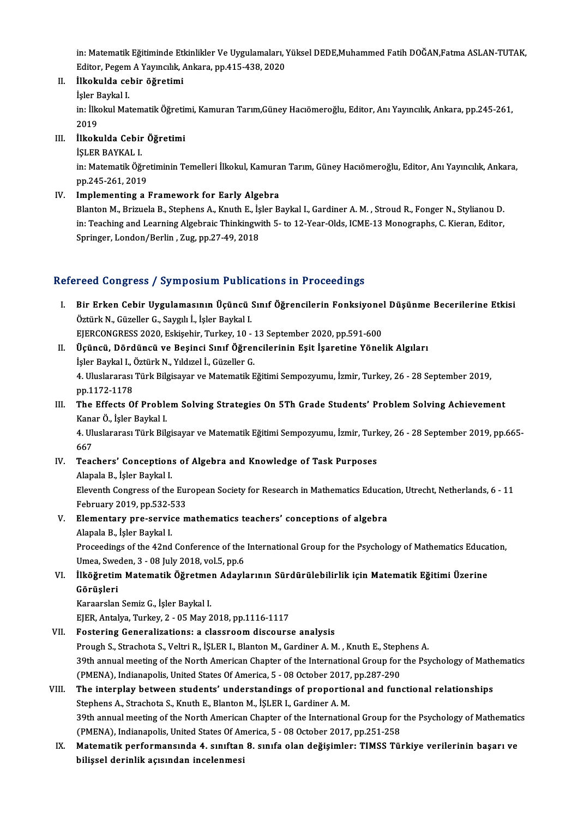in: Matematik Eğitiminde Etkinlikler Ve Uygulamaları, Yüksel DEDE,Muhammed Fatih DOĞAN,Fatma ASLAN-TUTAK,<br>Editer Besem A Yaunglik, Ankana, pp.415,429,2020 in: Matematik Eğitiminde Etkinlikler Ve Uygulamaları, 1<br>Editor, Pegem A Yayıncılık, Ankara, pp.415-438, 2020<br>İlkolmlda sehin öğretimi in: Matematik Eğitiminde Etl<br>Editor, Pegem A Yayıncılık, *İ*<br>II. İlkokulda cebir öğretimi Editor, Pegem<br>İlkokulda ce<br>İşler Baykal I.<br>in İlkokul Met

II. İlkokulda cebir öğretimi<br>İşler Baykal I.<br>in: İlkokul Matematik Öğretimi, Kamuran Tarım,Güney Hacıömeroğlu, Editor, Anı Yayıncılık, Ankara, pp.245-261,<br>2019 İşler E<br>in: İlka<br>2019<br>İlkala in: İlkokul Matematik Öğretir<br>2019<br>III. İlkokulda Cebir Öğretimi<br>İSLEP PAYKAL L

# 2019<br>İlkokulda Cebir<br>İŞLER BAYKAL I.<br>in: Matematik Öğ

İlkokulda Cebir Öğretimi<br>İŞLER BAYKAL I.<br>in: Matematik Öğretiminin Temelleri İlkokul, Kamuran Tarım, Güney Hacıömeroğlu, Editor, Anı Yayıncılık, Ankara, İŞLER BAYKAL I.<br>in: Matematik Öğre<br>pp.245-261, 2019<br>Implementing e.l

# pp.245-261, 2019<br>IV. Implementing a Framework for Early Algebra

Blanton M., Brizuela B., Stephens A., Knuth E., İsler Baykal I., Gardiner A. M., Stroud R., Fonger N., Stylianou D. in: Teaching and Learning Algebraic Thinkingwith 5- to 12-Year-Olds, ICME-13 Monographs, C. Kieran, Editor, Springer, London/Berlin, Zug, pp.27-49, 2018

## Refereed Congress / Symposium Publications in Proceedings

- efereed Congress / Symposium Publications in Proceedings<br>I. Bir Erken Cebir Uygulamasının Üçüncü Sınıf Öğrencilerin Fonksiyonel Düşünme Becerilerine Etkisi<br>Östürk N. Cüzeller C. Sevah İ. İslamBaykal I. Fööd Göngröss 7 by mpostam 1 asik<br>Bir Erken Cebir Uygulamasının Üçüncü<br>Öztürk N., Güzeller G., Saygılı İ., İşler Baykal I.<br>FIERCONCRESS 2020, Eskisebir Turkey 10 Bir Erken Cebir Uygulamasının Üçüncü Sınıf Öğrencilerin Fonksiyonel<br>Öztürk N., Güzeller G., Saygılı İ., İşler Baykal I.<br>EJERCONGRESS 2020, Eskişehir, Turkey, 10 - 13 September 2020, pp.591-600<br>Üçüncü, Dördüncü ve Besinci S Öztürk N., Güzeller G., Saygılı İ., İşler Baykal I.<br>EJERCONGRESS 2020, Eskişehir, Turkey, 10 - 13 September 2020, pp.591-600<br>II. Üçüncü, Dördüncü ve Beşinci Sınıf Öğrencilerinin Eşit İşaretine Yönelik Algıları
- İşler Baykal I., Öztürk N., Yıldızel İ., Güzeller G. <mark>Üçüncü, Dördüncü ve Beşinci Sınıf Öğrencilerinin Eşit İşaretine Yönelik Algıları</mark><br>İşler Baykal I., Öztürk N., Yıldızel İ., Güzeller G.<br>4. Uluslararası Türk Bilgisayar ve Matematik Eğitimi Sempozyumu, İzmir, Turkey, 26 - 2 İşler Baykal I., ()<br>4. Uluslararası<br>pp.1172-1178<br>The Effects O 4. Uluslararası Türk Bilgisayar ve Matematik Eğitimi Sempozyumu, İzmir, Turkey, 26 - 28 September 2019,<br>pp.1172-1178<br>III. The Effects Of Problem Solving Strategies On 5Th Grade Students' Problem Solving Achievement<br>Kanar Ö

# pp.1172-1178<br>**The Effects Of Proble<br>Kanar Ö., İşler Baykal I.<br>4. Hluslananası Türk Bile** The Effects Of Problem Solving Strategies On 5Th Grade Students' Problem Solving Achievement<br>Kanar Ö., İşler Baykal I.<br>4. Uluslararası Türk Bilgisayar ve Matematik Eğitimi Sempozyumu, İzmir, Turkey, 26 - 28 September 2019,

Kanar Ö., İşler Baykal I.<br>4. Uluslararası Türk Bilgisayar ve Matematik Eğitimi Sempozyumu, İzmir, Turkey, 26 - 28 September 2019, pp.665-<br>667 4. Uluslararası Türk Bilgisayar ve Matematik Eğitimi Sempozyumu, İzmir, Turk<br>667<br>IV. Teachers' Conceptions of Algebra and Knowledge of Task Purposes

667<br>Teachers' Conception:<br>Alapala B., İşler Baykal I.<br>Eleventh Congress of the Teachers' Conceptions of Algebra and Knowledge of Task Purposes<br>Alapala B., İşler Baykal I.<br>Eleventh Congress of the European Society for Research in Mathematics Education, Utrecht, Netherlands, 6 - 11<br>Echnuary 2010, np.52 Alapala B., İşler Baykal I.<br>Eleventh Congress of the Eur<br>February 2019, pp.532-533<br>Elementary nre-convise m February 2019, pp.532-533

# V. Elementary pre-service mathematics teachers' conceptions of algebra<br>Alapala B., İşler Baykal I. Elementary pre-service mathematics teachers' conceptions of algebra<br>Alapala B., İşler Baykal I.<br>Proceedings of the 42nd Conference of the International Group for the Psychology of Mathematics Education,<br>Umea Sundan 3, .09

Alapala B., İşler Baykal I.<br>Proceedings of the 42nd Conference of the<br>Umea, Sweden, 3 - 08 July 2018, vol.5, pp.6<br>Uköğretim Matematik Öğretman Adaylı Proceedings of the 42nd Conference of the International Group for the Psychology of Mathematics Educa<br>Umea, Sweden, 3 - 08 July 2018, vol.5, pp.6<br>VI. İlköğretim Matematik Öğretmen Adaylarının Sürdürülebilirlik için Matemat

# Umea, Sweden, 3 - 08 July 2018, vol.5, pp.6<br>İlköğretim Matematik Öğretmen Adayl<br>Görüşleri<br>Karaarslan Semiz G., İşler Baykal I. VI. İlköğretim Matematik Öğretmen Adaylarının Sürdürülebilirlik için Matematik Eğitimi Üzerine

EJER,Antalya,Turkey,2 -05May2018,pp.1116-1117

## VII. Fostering Generalizations: a classroom discourse analysis

EJER, Antalya, Turkey, 2 - 05 May 2018, pp.1116-1117<br>Fostering Generalizations: a classroom discourse analysis<br>Prough S., Strachota S., Veltri R., İŞLER I., Blanton M., Gardiner A. M. , Knuth E., Stephens A.<br>20th annual me 39th annual meeting of the North American Chapter of the International Group for the Psychology of Mathematics Prough S., Strachota S., Veltri R., İŞLER I., Blanton M., Gardiner A. M. , Knuth E., Steph<br>39th annual meeting of the North American Chapter of the International Group for<br>(PMENA), Indianapolis, United States Of America, 5 (PMENA), Indianapolis, United States Of America, 5 - 08 October 2017, pp.287-290

## VIII. The interplay between students' understandings of proportional and functional relationships<br>Stephens A., Strachota S., Knuth E., Blanton M., IŞLER I., Gardiner A. M. 39th annual meeting of the North American Chapter of the International Group for the Psychology of Mathematics (PMENA), Indianapolis, United States Of America, 5 - 08 October 2017, pp.251-258

39th annual meeting of the North American Chapter of the International Group for the Psychology of Mathematic<br>(PMENA), Indianapolis, United States Of America, 5 - 08 October 2017, pp.251-258<br>IX. Matematik performansında 4. (PMENA), Indianapolis, United States Of An<br>Matematik performansında 4. sınıftan<br>bilişsel derinlik açısından incelenmesi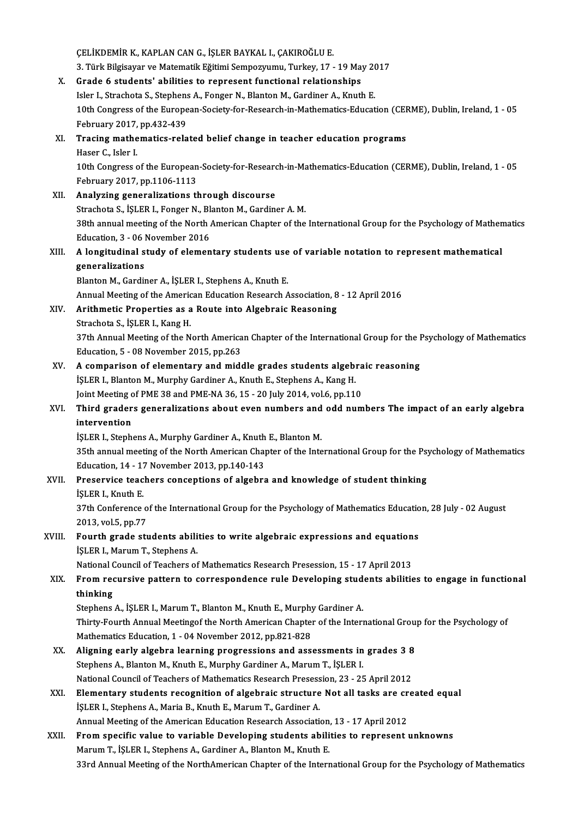ÇELİKDEMİR K., KAPLAN CAN G., İŞLER BAYKAL I., ÇAKIROĞLU E. ÇELİKDEMİR K., KAPLAN CAN G., İŞLER BAYKAL I., ÇAKIROĞLU E.<br>3. Türk Bilgisayar ve Matematik Eğitimi Sempozyumu, Turkey, 17 - 19 May 2017<br>Crada 6 studenta' abilitisa ta rennesent funstianal relationshins X. Grade 6 students' abilities to represent functional relationships 3. Türk Bilgisayar ve Matematik Eğitimi Sempozyumu, Turkey, 17 - 19 May 20<br>Grade 6 students' abilities to represent functional relationships<br>Isler I., Strachota S., Stephens A., Fonger N., Blanton M., Gardiner A., Knuth E. 10th Congress of the European-Society-for-Research-in-Mathematics-Education (CERME), Dublin, Ireland, 1 - 05<br>February 2017, pp.432-439 Isler I., Strachota S., Stephens A., Fonger N., Blanton M., Gardiner A., Knuth E. 10th Congress of the European-Society-for-Research-in-Mathematics-Education (CEI<br>February 2017, pp.432-439<br>XI. Tracing mathematics-related belief change in teacher education programs<br>Heser C. John J February 2017,<br>Tracing mathe<br>Haser C., Isler I.<br>10th Congress 6 Haser C., Isler I.<br>10th Congress of the European-Society-for-Research-in-Mathematics-Education (CERME), Dublin, Ireland, 1 - 05 February2017,pp.1106-1113 XII. Analyzing generalizations through discourse Strachota S., İŞLER I., Fonger N., Blanton M., Gardiner A.M. Analyzing generalizations through discourse<br>Strachota S., İŞLER I., Fonger N., Blanton M., Gardiner A. M.<br>38th annual meeting of the North American Chapter of the International Group for the Psychology of Mathematics<br>Educa Strachota S., İŞLER I., Fonger N., Bl.<br>38th annual meeting of the North .<br>Education, 3 - 06 November 2016 38th annual meeting of the North American Chapter of the International Group for the Psychology of Mathem<br>Education, 3 - 06 November 2016<br>XIII. A longitudinal study of elementary students use of variable notation to repres Education, 3 - 06 November 2016<br>
A longitudinal study of elementary students use<br>
generalizations<br>
Blanton M., Gardiner A., İŞLER I., Stephens A., Knuth E. A longitudinal study of elementary students use<br>generalizations<br>Blanton M., Gardiner A., İŞLER I., Stephens A., Knuth E.<br>Annuel Meeting of the American Education Bessensh A Annual Meeting of the American Education Research Association, 8 - 12 April 2016 Blanton M., Gardiner A., İŞLER I., Stephens A., Knuth E.<br>Annual Meeting of the American Education Research Association, 8<br>XIV. Arithmetic Properties as a Route into Algebraic Reasoning<br>Streshets S. İSLER L. Kang H. Annual Meeting of the Americ<br>Arithmetic Properties as a<br>Strachota S., İŞLER I., Kang H.<br><sup>27th</sup> Annual Meeting of the N Arithmetic Properties as a Route into Algebraic Reasoning<br>Strachota S., İŞLER I., Kang H.<br>37th Annual Meeting of the North American Chapter of the International Group for the Psychology of Mathematics<br>Education 5, .08 Nove Strachota S., İŞLER I., Kang H.<br>37th Annual Meeting of the North America<br>Education, 5 - 08 November 2015, pp.263<br>A samnarisan of alamentary and mide 37th Annual Meeting of the North American Chapter of the International Group for the I<br>Education, 5 - 08 November 2015, pp.263<br>XV. A comparison of elementary and middle grades students algebraic reasoning<br>is EP L Planton M Education, 5 - 08 November 2015, pp.263<br>A comparison of elementary and middle grades students algebrary<br>İŞLER I., Blanton M., Murphy Gardiner A., Knuth E., Stephens A., Kang H.<br>Joint Mesting of PME 29 and PME NA 26, 15 - 2 A comparison of elementary and middle grades students algebra<br>İŞLER I., Blanton M., Murphy Gardiner A., Knuth E., Stephens A., Kang H.<br>Joint Meeting of PME 38 and PME-NA 36, 15 - 20 July 2014, vol.6, pp.110<br>Third graders g iŞLER I., Blanton M., Murphy Gardiner A., Knuth E., Stephens A., Kang H.<br>Joint Meeting of PME 38 and PME-NA 36, 15 - 20 July 2014, vol.6, pp.110<br>XVI. Third graders generalizations about even numbers and odd numbers The **Joint Meeting c<br>Third grader<br>intervention<br>ist EP L Stanh** Third graders generalizations about even numbers and<br>intervention<br>İŞLER I., Stephens A., Murphy Gardiner A., Knuth E., Blanton M.<br>25th annual meeting of the North American Chapter of the Inte intervention<br>İŞLER I., Stephens A., Murphy Gardiner A., Knuth E., Blanton M.<br>35th annual meeting of the North American Chapter of the International Group for the Psychology of Mathematics<br>Education 14, 17 November 2013, pp ISLER I., Stephens A., Murphy Gardiner A., Knuth<br>35th annual meeting of the North American Chap<br>Education, 14 - 17 November 2013, pp.140-143<br>Preservise teachers consentions of alsohre 35th annual meeting of the North American Chapter of the International Group for the Psy<br>Education, 14 - 17 November 2013, pp.140-143<br>XVII. Preservice teachers conceptions of algebra and knowledge of student thinking<br>ist E Education, 14 - 17 November 2013, pp.140-143<br>Preservice teachers conceptions of algebra and knowledge of student thinking<br>İŞLER I., Knuth E. Preservice teachers conceptions of algebra and knowledge of student thinking<br>İŞLER I., Knuth E.<br>37th Conference of the International Group for the Psychology of Mathematics Education, 28 July - 02 August<br>2013. vel 5. pp.77 i\$LER I., Knuth E.<br>37th Conference o<br>2013, vol.5, pp.77<br>Eourth suede str 37th Conference of the International Group for the Psychology of Mathematics Educatio<br>2013, vol.5, pp.77<br>XVIII. Fourth grade students abilities to write algebraic expressions and equations<br><sup>isl ED J</sup>. Morum T. Staphors A. 2013, vol.5, pp.77<br>**Fourth grade students abili**<br>İŞLER I., Marum T., Stephens A.<br>National Council of Teachens at Fourth grade students abilities to write algebraic expressions and equation<br>ISLER I., Marum T., Stephens A.<br>National Council of Teachers of Mathematics Research Presession, 15 - 17 April 2013<br>From requisive pattern to corr i\$LER I., Marum T., Stephens A.<br>National Council of Teachers of Mathematics Research Presession, 15 - 17 April 2013<br>XIX. From recursive pattern to correspondence rule Developing students abilities to engage in function National<br>From red<br>thinking<br>Stopbons From recursive pattern to correspondence rule Developing stud<br>thinking<br>Stephens A., İŞLER I., Marum T., Blanton M., Knuth E., Murphy Gardiner A.<br>Thirty Fourth Annual Meetinge the Nerth American Chapter of the Intern thinking<br>Stephens A., İŞLER I., Marum T., Blanton M., Knuth E., Murphy Gardiner A.<br>Thirty-Fourth Annual Meetingof the North American Chapter of the International Group for the Psychology of<br>Mathematics Education 1 - 04 Nov Stephens A., İŞLER I., Marum T., Blanton M., Knuth E., Murphy<br>Thirty-Fourth Annual Meetingof the North American Chapter<br>Mathematics Education, 1 - 04 November 2012, pp.821-828<br>Alisning early alsohra learning progressions a Thirty-Fourth Annual Meetingof the North American Chapter of the International Groum<br>Mathematics Education, 1 - 04 November 2012, pp.821-828<br>XX. Aligning early algebra learning progressions and assessments in grades 3 8<br>St Mathematics Education, 1 - 04 November 2012, pp.821-828<br>Aligning early algebra learning progressions and assessments in<br>Stephens A., Blanton M., Knuth E., Murphy Gardiner A., Marum T., İŞLER I.<br>National Council of Teachars Aligning early algebra learning progressions and assessments in grades 3 8<br>Stephens A., Blanton M., Knuth E., Murphy Gardiner A., Marum T., İŞLER I.<br>National Council of Teachers of Mathematics Research Presession, 23 - 25 Stephens A., Blanton M., Knuth E., Murphy Gardiner A., Marum T., İŞLER I.<br>National Council of Teachers of Mathematics Research Presession, 23 - 25 April 2012<br>XXI. Elementary students recognition of algebraic structure Not National Council of Teachers of Mathematics Research Presession, 23 - 25 April 2012<br>Elementary students recognition of algebraic structure Not all tasks are cre<br>İŞLER I., Stephens A., Maria B., Knuth E., Marum T., Gardiner Elementary students recognition of algebraic structure Not all tasks are cr<br>İŞLER I., Stephens A., Maria B., Knuth E., Marum T., Gardiner A.<br>Annual Meeting of the American Education Research Association, 13 - 17 April 2012 XXII. From specific value to variable Developing students abilities to represent unknowns<br>Marum T., İŞLER I., Stephens A., Gardiner A., Blanton M., Knuth E. Annual Meeting of the American Education Research Association, 13 - 17 April 2012 33rd Annual Meeting of the NorthAmerican Chapter of the International Group for the Psychology of Mathematics